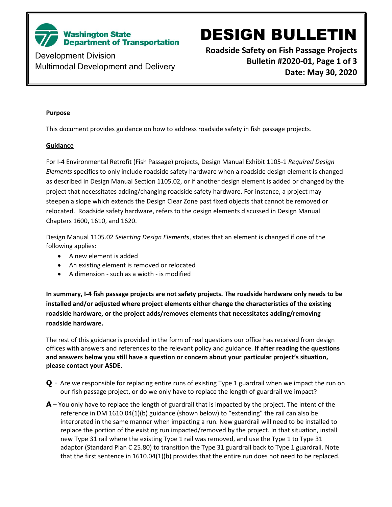

Development Division Multimodal Development and Delivery

# DESIGN BULLETIN

**Roadside Safety on Fish Passage Projects Bulletin #2020-01, Page 1 of 3 Date: May 30, 2020**

#### **Purpose**

This document provides guidance on how to address roadside safety in fish passage projects.

#### **Guidance**

For I-4 Environmental Retrofit (Fish Passage) projects, Design Manual Exhibit 1105-1 *Required Design Elements* specifies to only include roadside safety hardware when a roadside design element is changed as described in Design Manual Section 1105.02, or if another design element is added or changed by the project that necessitates adding/changing roadside safety hardware. For instance, a project may steepen a slope which extends the Design Clear Zone past fixed objects that cannot be removed or relocated. Roadside safety hardware, refers to the design elements discussed in Design Manual Chapters 1600, 1610, and 1620.

Design Manual 1105.02 *Selecting Design Elements*, states that an element is changed if one of the following applies:

- A new element is added
- An existing element is removed or relocated
- A dimension such as a width is modified

**In summary, I-4 fish passage projects are not safety projects. The roadside hardware only needs to be installed and/or adjusted where project elements either change the characteristics of the existing roadside hardware, or the project adds/removes elements that necessitates adding/removing roadside hardware.** 

The rest of this guidance is provided in the form of real questions our office has received from design offices with answers and references to the relevant policy and guidance. **If after reading the questions and answers below you still have a question or concern about your particular project's situation, please contact your ASDE.**

- **Q** Are we responsible for replacing entire runs of existing Type 1 guardrail when we impact the run on our fish passage project, or do we only have to replace the length of guardrail we impact?
- **A** You only have to replace the length of guardrail that is impacted by the project. The intent of the reference in DM 1610.04(1)(b) guidance (shown below) to "extending" the rail can also be interpreted in the same manner when impacting a run. New guardrail will need to be installed to replace the portion of the existing run impacted/removed by the project. In that situation, install new Type 31 rail where the existing Type 1 rail was removed, and use the Type 1 to Type 31 adaptor (Standard Plan C 25.80) to transition the Type 31 guardrail back to Type 1 guardrail. Note that the first sentence in 1610.04(1)(b) provides that the entire run does not need to be replaced.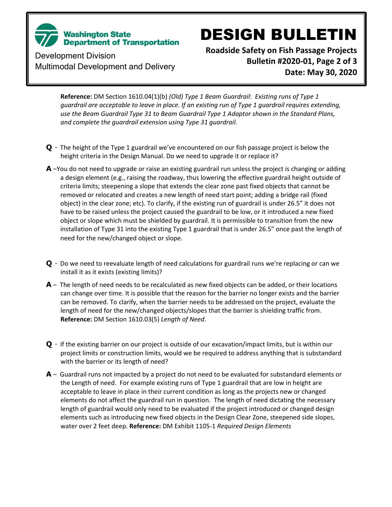

# DESIGN BULLETIN

Development Division Multimodal Development and Delivery **Roadside Safety on Fish Passage Projects Bulletin #2020-01, Page 2 of 3 Date: May 30, 2020**

**Reference:** DM Section 1610.04(1)(b) *(Old) Type 1 Beam Guardrail*: *Existing runs of Type 1 guardrail are acceptable to leave in place. If an existing run of Type 1 guardrail requires extending, use the Beam Guardrail Type 31 to Beam Guardrail Type 1 Adaptor shown in the Standard Plans, and complete the guardrail extension using Type 31 guardrail.* 

- **Q** The height of the Type 1 guardrail we've encountered on our fish passage project is below the height criteria in the Design Manual. Do we need to upgrade it or replace it?
- **A** –You do not need to upgrade or raise an existing guardrail run unless the project is changing or adding a design element (e.g., raising the roadway, thus lowering the effective guardrail height outside of criteria limits; steepening a slope that extends the clear zone past fixed objects that cannot be removed or relocated and creates a new length of need start point; adding a bridge rail (fixed object) in the clear zone; etc). To clarify, if the existing run of guardrail is under 26.5" it does not have to be raised unless the project caused the guardrail to be low, or it introduced a new fixed object or slope which must be shielded by guardrail. It is permissible to transition from the new installation of Type 31 into the existing Type 1 guardrail that is under 26.5" once past the length of need for the new/changed object or slope.
- **Q** Do we need to reevaluate length of need calculations for guardrail runs we're replacing or can we install it as it exists (existing limits)?
- **A** The length of need needs to be recalculated as new fixed objects can be added, or their locations can change over time. It is possible that the reason for the barrier no longer exists and the barrier can be removed. To clarify, when the barrier needs to be addressed on the project, evaluate the length of need for the new/changed objects/slopes that the barrier is shielding traffic from. **Reference:** DM Section 1610.03(5) *Length of Need*.
- **Q** If the existing barrier on our project is outside of our excavation/impact limits, but is within our project limits or construction limits, would we be required to address anything that is substandard with the barrier or its length of need?
- **A** Guardrail runs not impacted by a project do not need to be evaluated for substandard elements or the Length of need. For example existing runs of Type 1 guardrail that are low in height are acceptable to leave in place in their current condition as long as the projects new or changed elements do not affect the guardrail run in question. The length of need dictating the necessary length of guardrail would only need to be evaluated if the project introduced or changed design elements such as introducing new fixed objects in the Design Clear Zone, steepened side slopes, water over 2 feet deep. **Reference:** DM Exhibit 1105-1 *Required Design Elements*